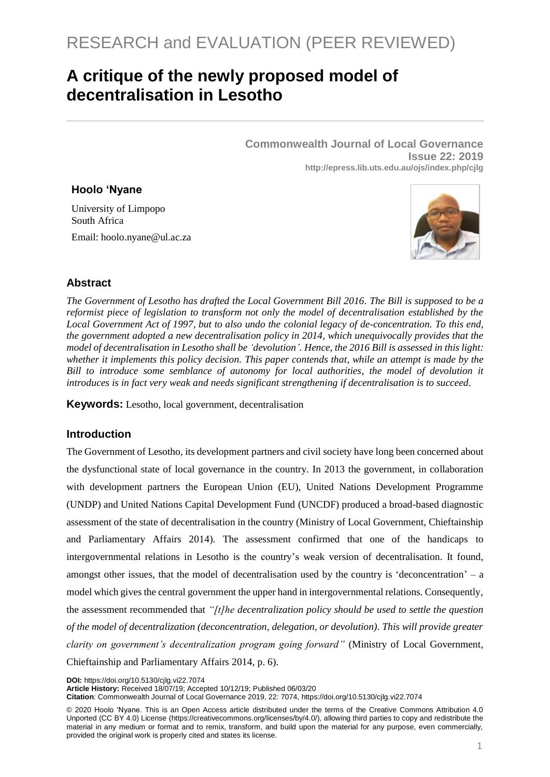# **A critique of the newly proposed model of decentralisation in Lesotho**

**Commonwealth Journal of Local Governance Issue 22: 2019 http://epress.lib.uts.edu.au/ojs/index.php/cjlg**

# **Hoolo 'Nyane**

University of Limpopo South Africa

Email: hoolo.nyane@ul.ac.za



# **Abstract**

*The Government of Lesotho has drafted the Local Government Bill 2016. The Bill is supposed to be a reformist piece of legislation to transform not only the model of decentralisation established by the Local Government Act of 1997, but to also undo the colonial legacy of de-concentration. To this end, the government adopted a new decentralisation policy in 2014, which unequivocally provides that the model of decentralisation in Lesotho shall be 'devolution'. Hence, the 2016 Bill is assessed in this light: whether it implements this policy decision. This paper contends that, while an attempt is made by the Bill to introduce some semblance of autonomy for local authorities, the model of devolution it introduces is in fact very weak and needs significant strengthening if decentralisation is to succeed.*

**Keywords:** Lesotho, local government, decentralisation

# **Introduction**

The Government of Lesotho, its development partners and civil society have long been concerned about the dysfunctional state of local governance in the country. In 2013 the government, in collaboration with development partners the European Union (EU), United Nations Development Programme (UNDP) and United Nations Capital Development Fund (UNCDF) produced a broad-based diagnostic assessment of the state of decentralisation in the country (Ministry of Local Government, Chieftainship and Parliamentary Affairs 2014). The assessment confirmed that one of the handicaps to intergovernmental relations in Lesotho is the country's weak version of decentralisation. It found, amongst other issues, that the model of decentralisation used by the country is 'deconcentration' – a model which gives the central government the upper hand in intergovernmental relations. Consequently, the assessment recommended that *"[t]he decentralization policy should be used to settle the question of the model of decentralization (deconcentration, delegation, or devolution). This will provide greater clarity on government's decentralization program going forward"* (Ministry of Local Government, Chieftainship and Parliamentary Affairs 2014, p. 6).

**DOI:** https://doi.org/10.5130/cjlg.vi22.7074

**Article History:** Received 18/07/19; Accepted 10/12/19; Published 06/03/20

**Citation**: Commonwealth Journal of Local Governance 2019, 22: 7074, https://doi.org/10.5130/cjlg.vi22.7074

© 2020 Hoolo 'Nyane. This is an Open Access article distributed under the terms of the Creative Commons Attribution 4.0 Unported (CC BY 4.0) License [\(https://creativecommons.org/licenses/by/4.0/\)](https://creativecommons.org/licenses/by/4.0/), allowing third parties to copy and redistribute the material in any medium or format and to remix, transform, and build upon the material for any purpose, even commercially, provided the original work is properly cited and states its license.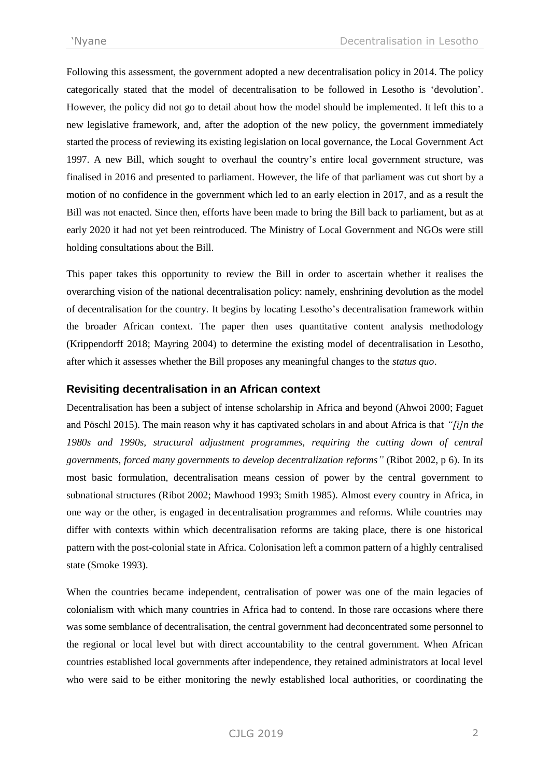Following this assessment, the government adopted a new decentralisation policy in 2014. The policy categorically stated that the model of decentralisation to be followed in Lesotho is 'devolution'. However, the policy did not go to detail about how the model should be implemented. It left this to a new legislative framework, and, after the adoption of the new policy, the government immediately started the process of reviewing its existing legislation on local governance, the Local Government Act 1997. A new Bill, which sought to overhaul the country's entire local government structure, was finalised in 2016 and presented to parliament. However, the life of that parliament was cut short by a motion of no confidence in the government which led to an early election in 2017, and as a result the Bill was not enacted. Since then, efforts have been made to bring the Bill back to parliament, but as at early 2020 it had not yet been reintroduced. The Ministry of Local Government and NGOs were still holding consultations about the Bill.

This paper takes this opportunity to review the Bill in order to ascertain whether it realises the overarching vision of the national decentralisation policy: namely, enshrining devolution as the model of decentralisation for the country. It begins by locating Lesotho's decentralisation framework within the broader African context. The paper then uses quantitative content analysis methodology (Krippendorff 2018; Mayring 2004) to determine the existing model of decentralisation in Lesotho, after which it assesses whether the Bill proposes any meaningful changes to the *status quo*.

#### **Revisiting decentralisation in an African context**

Decentralisation has been a subject of intense scholarship in Africa and beyond (Ahwoi 2000; Faguet and Pöschl 2015). The main reason why it has captivated scholars in and about Africa is that *"[i]n the 1980s and 1990s, structural adjustment programmes, requiring the cutting down of central governments, forced many governments to develop decentralization reforms"* (Ribot 2002, p 6)*.* In its most basic formulation, decentralisation means cession of power by the central government to subnational structures (Ribot 2002; Mawhood 1993; Smith 1985). Almost every country in Africa, in one way or the other, is engaged in decentralisation programmes and reforms. While countries may differ with contexts within which decentralisation reforms are taking place, there is one historical pattern with the post-colonial state in Africa. Colonisation left a common pattern of a highly centralised state (Smoke 1993).

When the countries became independent, centralisation of power was one of the main legacies of colonialism with which many countries in Africa had to contend. In those rare occasions where there was some semblance of decentralisation, the central government had deconcentrated some personnel to the regional or local level but with direct accountability to the central government. When African countries established local governments after independence, they retained administrators at local level who were said to be either monitoring the newly established local authorities, or coordinating the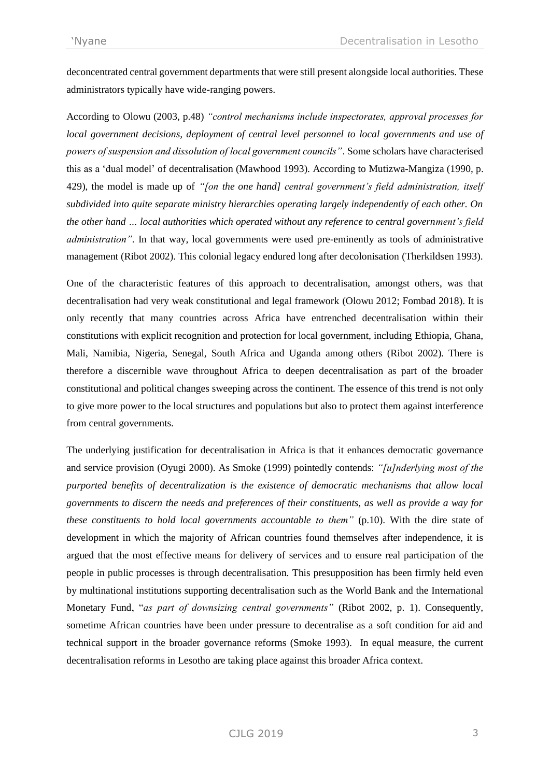deconcentrated central government departments that were still present alongside local authorities. These administrators typically have wide-ranging powers.

According to Olowu (2003, p.48) *"control mechanisms include inspectorates, approval processes for local government decisions, deployment of central level personnel to local governments and use of powers of suspension and dissolution of local government councils"*. Some scholars have characterised this as a 'dual model' of decentralisation (Mawhood 1993). According to Mutizwa-Mangiza (1990, p. 429), the model is made up of *"[on the one hand] central government's field administration, itself subdivided into quite separate ministry hierarchies operating largely independently of each other. On the other hand … local authorities which operated without any reference to central government's field administration"*. In that way, local governments were used pre-eminently as tools of administrative management (Ribot 2002). This colonial legacy endured long after decolonisation (Therkildsen 1993).

One of the characteristic features of this approach to decentralisation, amongst others, was that decentralisation had very weak constitutional and legal framework (Olowu 2012; Fombad 2018). It is only recently that many countries across Africa have entrenched decentralisation within their constitutions with explicit recognition and protection for local government, including Ethiopia, Ghana, Mali, Namibia, Nigeria, Senegal, South Africa and Uganda among others (Ribot 2002). There is therefore a discernible wave throughout Africa to deepen decentralisation as part of the broader constitutional and political changes sweeping across the continent. The essence of this trend is not only to give more power to the local structures and populations but also to protect them against interference from central governments.

The underlying justification for decentralisation in Africa is that it enhances democratic governance and service provision (Oyugi 2000). As Smoke (1999) pointedly contends: *"[u]nderlying most of the purported benefits of decentralization is the existence of democratic mechanisms that allow local governments to discern the needs and preferences of their constituents, as well as provide a way for these constituents to hold local governments accountable to them"* (p.10). With the dire state of development in which the majority of African countries found themselves after independence, it is argued that the most effective means for delivery of services and to ensure real participation of the people in public processes is through decentralisation. This presupposition has been firmly held even by multinational institutions supporting decentralisation such as the World Bank and the International Monetary Fund, "*as part of downsizing central governments"* (Ribot 2002, p. 1). Consequently, sometime African countries have been under pressure to decentralise as a soft condition for aid and technical support in the broader governance reforms (Smoke 1993). In equal measure, the current decentralisation reforms in Lesotho are taking place against this broader Africa context.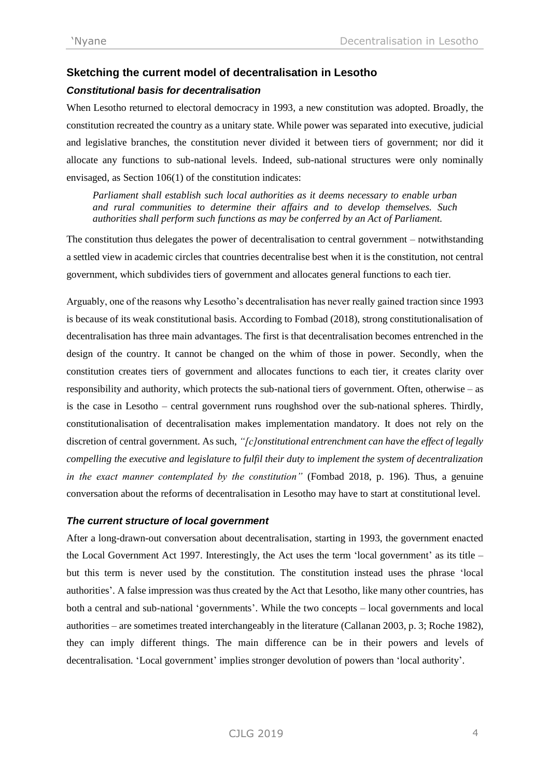# **Sketching the current model of decentralisation in Lesotho**

# *Constitutional basis for decentralisation*

When Lesotho returned to electoral democracy in 1993, a new constitution was adopted. Broadly, the constitution recreated the country as a unitary state. While power was separated into executive, judicial and legislative branches, the constitution never divided it between tiers of government; nor did it allocate any functions to sub-national levels. Indeed, sub-national structures were only nominally envisaged, as Section 106(1) of the constitution indicates:

*Parliament shall establish such local authorities as it deems necessary to enable urban and rural communities to determine their affairs and to develop themselves. Such authorities shall perform such functions as may be conferred by an Act of Parliament.*

The constitution thus delegates the power of decentralisation to central government – notwithstanding a settled view in academic circles that countries decentralise best when it is the constitution, not central government, which subdivides tiers of government and allocates general functions to each tier.

Arguably, one of the reasons why Lesotho's decentralisation has never really gained traction since 1993 is because of its weak constitutional basis. According to Fombad (2018), strong constitutionalisation of decentralisation has three main advantages. The first is that decentralisation becomes entrenched in the design of the country. It cannot be changed on the whim of those in power. Secondly, when the constitution creates tiers of government and allocates functions to each tier, it creates clarity over responsibility and authority, which protects the sub-national tiers of government. Often, otherwise – as is the case in Lesotho – central government runs roughshod over the sub-national spheres. Thirdly, constitutionalisation of decentralisation makes implementation mandatory. It does not rely on the discretion of central government. As such, *"[c]onstitutional entrenchment can have the effect of legally compelling the executive and legislature to fulfil their duty to implement the system of decentralization in the exact manner contemplated by the constitution"* (Fombad 2018, p. 196). Thus, a genuine conversation about the reforms of decentralisation in Lesotho may have to start at constitutional level.

# *The current structure of local government*

After a long-drawn-out conversation about decentralisation, starting in 1993, the government enacted the Local Government Act 1997. Interestingly, the Act uses the term 'local government' as its title – but this term is never used by the constitution. The constitution instead uses the phrase 'local authorities'. A false impression was thus created by the Act that Lesotho, like many other countries, has both a central and sub-national 'governments'. While the two concepts – local governments and local authorities – are sometimes treated interchangeably in the literature (Callanan 2003, p. 3; Roche 1982), they can imply different things. The main difference can be in their powers and levels of decentralisation. 'Local government' implies stronger devolution of powers than 'local authority'.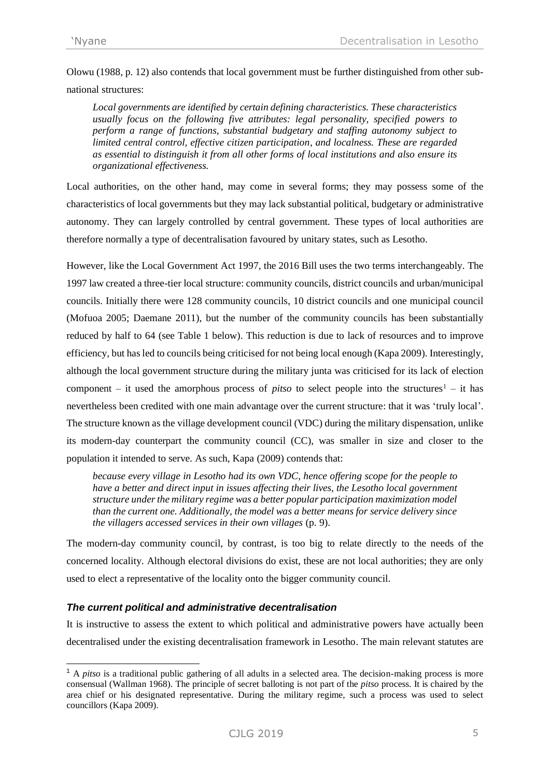$\overline{a}$ 

Olowu (1988, p. 12) also contends that local government must be further distinguished from other subnational structures:

*Local governments are identified by certain defining characteristics. These characteristics usually focus on the following five attributes: legal personality, specified powers to perform a range of functions, substantial budgetary and staffing autonomy subject to limited central control, effective citizen participation, and localness. These are regarded as essential to distinguish it from all other forms of local institutions and also ensure its organizational effectiveness.*

Local authorities, on the other hand, may come in several forms; they may possess some of the characteristics of local governments but they may lack substantial political, budgetary or administrative autonomy. They can largely controlled by central government. These types of local authorities are therefore normally a type of decentralisation favoured by unitary states, such as Lesotho.

However, like the Local Government Act 1997, the 2016 Bill uses the two terms interchangeably. The 1997 law created a three-tier local structure: community councils, district councils and urban/municipal councils. Initially there were 128 community councils, 10 district councils and one municipal council (Mofuoa 2005; Daemane 2011), but the number of the community councils has been substantially reduced by half to 64 (see Table 1 below). This reduction is due to lack of resources and to improve efficiency, but has led to councils being criticised for not being local enough (Kapa 2009). Interestingly, although the local government structure during the military junta was criticised for its lack of election component – it used the amorphous process of *pitso* to select people into the structures<sup>1</sup> – it has nevertheless been credited with one main advantage over the current structure: that it was 'truly local'. The structure known as the village development council (VDC) during the military dispensation, unlike its modern-day counterpart the community council (CC), was smaller in size and closer to the population it intended to serve. As such, Kapa (2009) contends that:

*because every village in Lesotho had its own VDC, hence offering scope for the people to have a better and direct input in issues affecting their lives, the Lesotho local government structure under the military regime was a better popular participation maximization model than the current one. Additionally, the model was a better means for service delivery since the villagers accessed services in their own villages* (p. 9).

The modern-day community council, by contrast, is too big to relate directly to the needs of the concerned locality. Although electoral divisions do exist, these are not local authorities; they are only used to elect a representative of the locality onto the bigger community council.

# *The current political and administrative decentralisation*

It is instructive to assess the extent to which political and administrative powers have actually been decentralised under the existing decentralisation framework in Lesotho. The main relevant statutes are

<sup>1</sup> A *pitso* is a traditional public gathering of all adults in a selected area. The decision-making process is more consensual (Wallman 1968). The principle of secret balloting is not part of the *pitso* process. It is chaired by the area chief or his designated representative. During the military regime, such a process was used to select councillors (Kapa 2009).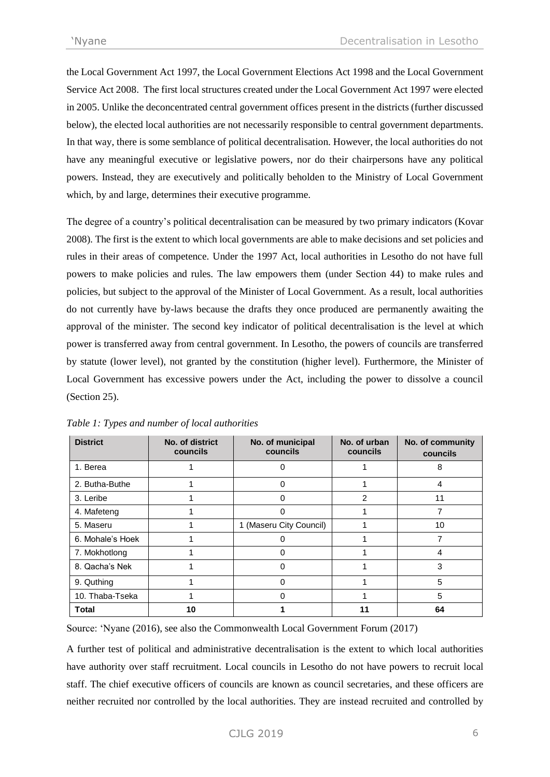the Local Government Act 1997, the Local Government Elections Act 1998 and the Local Government Service Act 2008. The first local structures created under the Local Government Act 1997 were elected in 2005. Unlike the deconcentrated central government offices present in the districts (further discussed below), the elected local authorities are not necessarily responsible to central government departments. In that way, there is some semblance of political decentralisation. However, the local authorities do not have any meaningful executive or legislative powers, nor do their chairpersons have any political powers. Instead, they are executively and politically beholden to the Ministry of Local Government which, by and large, determines their executive programme.

The degree of a country's political decentralisation can be measured by two primary indicators (Kovar 2008). The first is the extent to which local governments are able to make decisions and set policies and rules in their areas of competence. Under the 1997 Act, local authorities in Lesotho do not have full powers to make policies and rules. The law empowers them (under Section 44) to make rules and policies, but subject to the approval of the Minister of Local Government. As a result, local authorities do not currently have by-laws because the drafts they once produced are permanently awaiting the approval of the minister. The second key indicator of political decentralisation is the level at which power is transferred away from central government. In Lesotho, the powers of councils are transferred by statute (lower level), not granted by the constitution (higher level). Furthermore, the Minister of Local Government has excessive powers under the Act, including the power to dissolve a council (Section 25).

| <b>District</b>  | No. of district<br>councils | No. of municipal<br>councils | No. of urban<br>councils | No. of community<br>councils |
|------------------|-----------------------------|------------------------------|--------------------------|------------------------------|
| 1. Berea         |                             | 0                            |                          | 8                            |
| 2. Butha-Buthe   |                             | 0                            |                          | 4                            |
| 3. Leribe        |                             | 0                            | 2                        | 11                           |
| 4. Mafeteng      |                             |                              |                          | ⇁                            |
| 5. Maseru        |                             | 1 (Maseru City Council)      |                          | 10                           |
| 6. Mohale's Hoek |                             |                              |                          |                              |
| 7. Mokhotlong    |                             |                              |                          | 4                            |
| 8. Qacha's Nek   |                             | O                            |                          | 3                            |
| 9. Quthing       |                             | 0                            |                          | 5                            |
| 10. Thaba-Tseka  |                             | U                            |                          | 5                            |
| <b>Total</b>     | 10                          |                              | 11                       | 64                           |

*Table 1: Types and number of local authorities*

Source: 'Nyane (2016), see also the Commonwealth Local Government Forum (2017)

A further test of political and administrative decentralisation is the extent to which local authorities have authority over staff recruitment. Local councils in Lesotho do not have powers to recruit local staff. The chief executive officers of councils are known as council secretaries, and these officers are neither recruited nor controlled by the local authorities. They are instead recruited and controlled by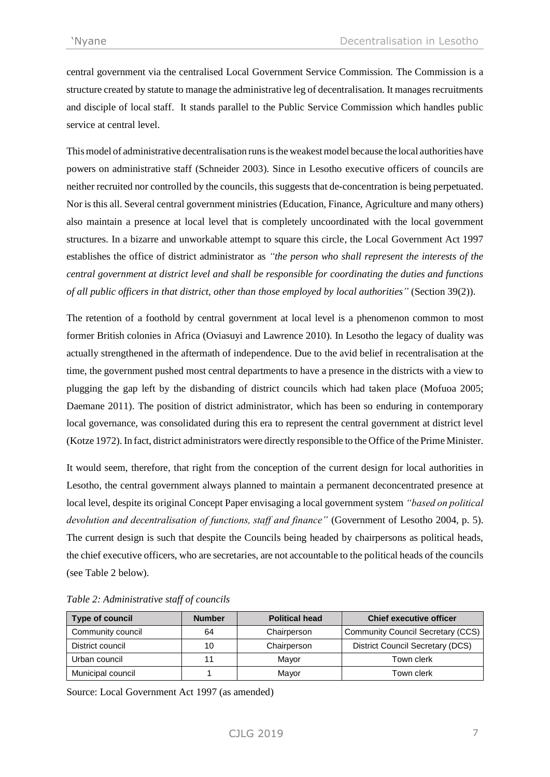central government via the centralised Local Government Service Commission. The Commission is a structure created by statute to manage the administrative leg of decentralisation. It manages recruitments and disciple of local staff. It stands parallel to the Public Service Commission which handles public service at central level.

This model of administrative decentralisation runs is the weakest model because the local authorities have powers on administrative staff (Schneider 2003). Since in Lesotho executive officers of councils are neither recruited nor controlled by the councils, this suggests that de-concentration is being perpetuated. Nor is this all. Several central government ministries (Education, Finance, Agriculture and many others) also maintain a presence at local level that is completely uncoordinated with the local government structures. In a bizarre and unworkable attempt to square this circle, the Local Government Act 1997 establishes the office of district administrator as *"the person who shall represent the interests of the central government at district level and shall be responsible for coordinating the duties and functions of all public officers in that district, other than those employed by local authorities"* (Section 39(2)).

The retention of a foothold by central government at local level is a phenomenon common to most former British colonies in Africa (Oviasuyi and Lawrence 2010). In Lesotho the legacy of duality was actually strengthened in the aftermath of independence. Due to the avid belief in recentralisation at the time, the government pushed most central departments to have a presence in the districts with a view to plugging the gap left by the disbanding of district councils which had taken place (Mofuoa 2005; Daemane 2011). The position of district administrator, which has been so enduring in contemporary local governance, was consolidated during this era to represent the central government at district level (Kotze 1972). In fact, district administrators were directly responsible to the Office of the Prime Minister.

It would seem, therefore, that right from the conception of the current design for local authorities in Lesotho, the central government always planned to maintain a permanent deconcentrated presence at local level, despite its original Concept Paper envisaging a local government system *"based on political devolution and decentralisation of functions, staff and finance"* (Government of Lesotho 2004, p. 5). The current design is such that despite the Councils being headed by chairpersons as political heads, the chief executive officers, who are secretaries, are not accountable to the political heads of the councils (see Table 2 below).

| Type of council   | <b>Number</b> | <b>Political head</b> | <b>Chief executive officer</b>    |
|-------------------|---------------|-----------------------|-----------------------------------|
| Community council | 64            | Chairperson           | Community Council Secretary (CCS) |
| District council  | 10            | Chairperson           | District Council Secretary (DCS)  |
| Urban council     |               | Mayor                 | Town clerk                        |
| Municipal council |               | Mayor                 | Town clerk                        |

*Table 2: Administrative staff of councils* 

Source: Local Government Act 1997 (as amended)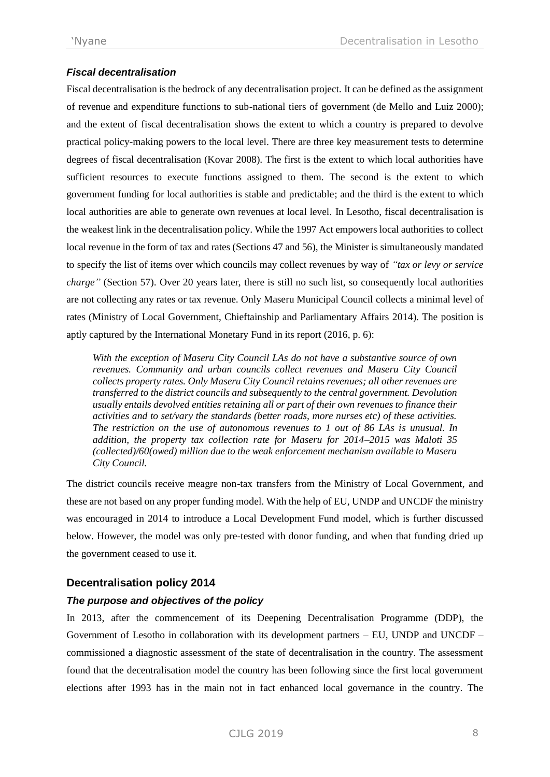# *Fiscal decentralisation*

Fiscal decentralisation is the bedrock of any decentralisation project. It can be defined as the assignment of revenue and expenditure functions to sub-national tiers of government (de Mello and Luiz 2000); and the extent of fiscal decentralisation shows the extent to which a country is prepared to devolve practical policy-making powers to the local level. There are three key measurement tests to determine degrees of fiscal decentralisation (Kovar 2008). The first is the extent to which local authorities have sufficient resources to execute functions assigned to them. The second is the extent to which government funding for local authorities is stable and predictable; and the third is the extent to which local authorities are able to generate own revenues at local level. In Lesotho, fiscal decentralisation is the weakest link in the decentralisation policy. While the 1997 Act empowers local authorities to collect local revenue in the form of tax and rates (Sections 47 and 56), the Minister is simultaneously mandated to specify the list of items over which councils may collect revenues by way of *"tax or levy or service charge"* (Section 57). Over 20 years later, there is still no such list, so consequently local authorities are not collecting any rates or tax revenue. Only Maseru Municipal Council collects a minimal level of rates (Ministry of Local Government, Chieftainship and Parliamentary Affairs 2014). The position is aptly captured by the International Monetary Fund in its report (2016, p. 6):

*With the exception of Maseru City Council LAs do not have a substantive source of own revenues. Community and urban councils collect revenues and Maseru City Council collects property rates. Only Maseru City Council retains revenues; all other revenues are transferred to the district councils and subsequently to the central government. Devolution usually entails devolved entities retaining all or part of their own revenues to finance their activities and to set/vary the standards (better roads, more nurses etc) of these activities. The restriction on the use of autonomous revenues to 1 out of 86 LAs is unusual. In addition, the property tax collection rate for Maseru for 2014–2015 was Maloti 35 (collected)/60(owed) million due to the weak enforcement mechanism available to Maseru City Council.*

The district councils receive meagre non-tax transfers from the Ministry of Local Government, and these are not based on any proper funding model. With the help of EU, UNDP and UNCDF the ministry was encouraged in 2014 to introduce a Local Development Fund model, which is further discussed below. However, the model was only pre-tested with donor funding, and when that funding dried up the government ceased to use it.

# **Decentralisation policy 2014**

# *The purpose and objectives of the policy*

In 2013, after the commencement of its Deepening Decentralisation Programme (DDP), the Government of Lesotho in collaboration with its development partners – EU, UNDP and UNCDF – commissioned a diagnostic assessment of the state of decentralisation in the country. The assessment found that the decentralisation model the country has been following since the first local government elections after 1993 has in the main not in fact enhanced local governance in the country. The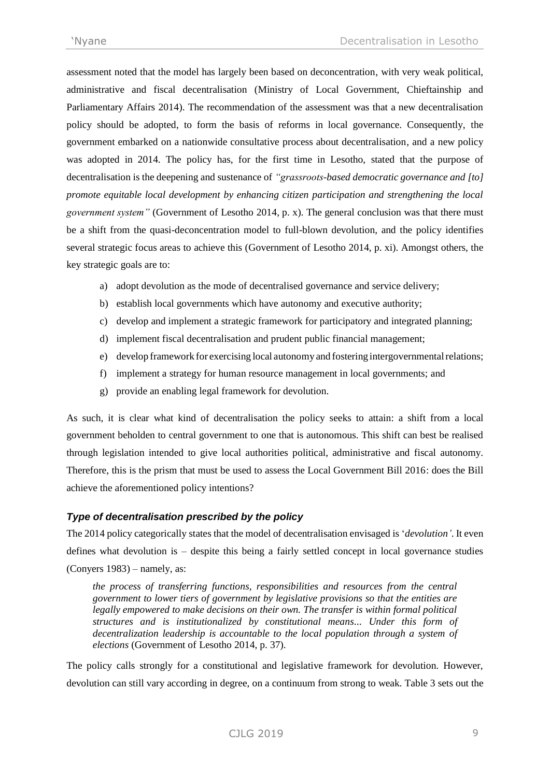assessment noted that the model has largely been based on deconcentration, with very weak political, administrative and fiscal decentralisation (Ministry of Local Government, Chieftainship and Parliamentary Affairs 2014). The recommendation of the assessment was that a new decentralisation policy should be adopted, to form the basis of reforms in local governance. Consequently, the government embarked on a nationwide consultative process about decentralisation, and a new policy was adopted in 2014. The policy has, for the first time in Lesotho, stated that the purpose of decentralisation is the deepening and sustenance of *"grassroots-based democratic governance and [to] promote equitable local development by enhancing citizen participation and strengthening the local government system"* (Government of Lesotho 2014, p. x). The general conclusion was that there must be a shift from the quasi-deconcentration model to full-blown devolution, and the policy identifies several strategic focus areas to achieve this (Government of Lesotho 2014, p. xi). Amongst others, the key strategic goals are to:

- a) adopt devolution as the mode of decentralised governance and service delivery;
- b) establish local governments which have autonomy and executive authority;
- c) develop and implement a strategic framework for participatory and integrated planning;
- d) implement fiscal decentralisation and prudent public financial management;
- e) develop framework for exercising local autonomy and fostering intergovernmentalrelations;
- f) implement a strategy for human resource management in local governments; and
- g) provide an enabling legal framework for devolution.

As such, it is clear what kind of decentralisation the policy seeks to attain: a shift from a local government beholden to central government to one that is autonomous. This shift can best be realised through legislation intended to give local authorities political, administrative and fiscal autonomy. Therefore, this is the prism that must be used to assess the Local Government Bill 2016: does the Bill achieve the aforementioned policy intentions?

# *Type of decentralisation prescribed by the policy*

The 2014 policy categorically states that the model of decentralisation envisaged is '*devolution'*. It even defines what devolution is – despite this being a fairly settled concept in local governance studies (Conyers 1983) – namely, as:

*the process of transferring functions, responsibilities and resources from the central government to lower tiers of government by legislative provisions so that the entities are*  legally empowered to make decisions on their own. The transfer is within formal political *structures and is institutionalized by constitutional means... Under this form of decentralization leadership is accountable to the local population through a system of elections* (Government of Lesotho 2014, p. 37).

The policy calls strongly for a constitutional and legislative framework for devolution. However, devolution can still vary according in degree, on a continuum from strong to weak. Table 3 sets out the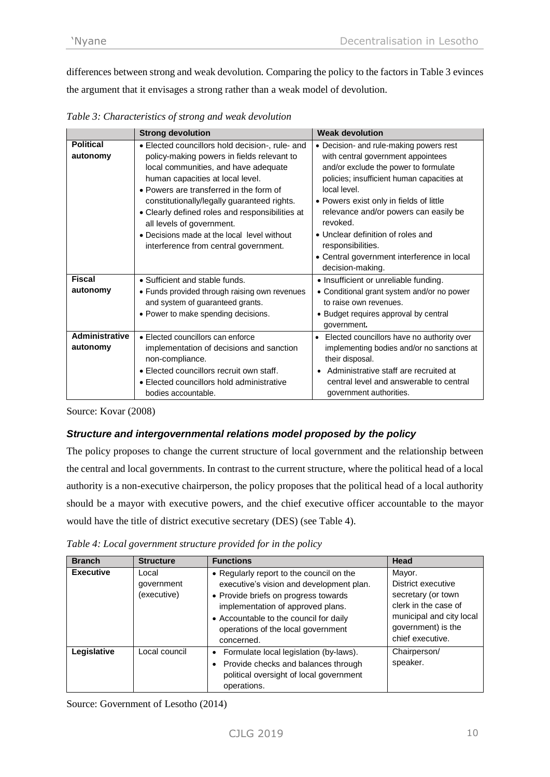differences between strong and weak devolution. Comparing the policy to the factors in Table 3 evinces the argument that it envisages a strong rather than a weak model of devolution.

|                                   | <b>Strong devolution</b>                                                                                                                                                                                                                                                                                                                                                                                                                    | <b>Weak devolution</b>                                                                                                                                                                                                                                                                                                                                                                                           |
|-----------------------------------|---------------------------------------------------------------------------------------------------------------------------------------------------------------------------------------------------------------------------------------------------------------------------------------------------------------------------------------------------------------------------------------------------------------------------------------------|------------------------------------------------------------------------------------------------------------------------------------------------------------------------------------------------------------------------------------------------------------------------------------------------------------------------------------------------------------------------------------------------------------------|
| <b>Political</b><br>autonomy      | · Elected councillors hold decision-, rule- and<br>policy-making powers in fields relevant to<br>local communities, and have adequate<br>human capacities at local level.<br>• Powers are transferred in the form of<br>constitutionally/legally guaranteed rights.<br>• Clearly defined roles and responsibilities at<br>all levels of government.<br>• Decisions made at the local level without<br>interference from central government. | • Decision- and rule-making powers rest<br>with central government appointees<br>and/or exclude the power to formulate<br>policies; insufficient human capacities at<br>local level.<br>• Powers exist only in fields of little<br>relevance and/or powers can easily be<br>revoked.<br>• Unclear definition of roles and<br>responsibilities.<br>• Central government interference in local<br>decision-making. |
| <b>Fiscal</b><br>autonomy         | • Sufficient and stable funds.<br>• Funds provided through raising own revenues<br>and system of guaranteed grants.<br>• Power to make spending decisions.                                                                                                                                                                                                                                                                                  | • Insufficient or unreliable funding.<br>• Conditional grant system and/or no power<br>to raise own revenues.<br>• Budget requires approval by central<br>government.                                                                                                                                                                                                                                            |
| <b>Administrative</b><br>autonomy | • Elected councillors can enforce<br>implementation of decisions and sanction<br>non-compliance.<br>• Elected councillors recruit own staff.<br>• Elected councillors hold administrative<br>bodies accountable.                                                                                                                                                                                                                            | Elected councillors have no authority over<br>$\bullet$<br>implementing bodies and/or no sanctions at<br>their disposal.<br>Administrative staff are recruited at<br>central level and answerable to central<br>government authorities.                                                                                                                                                                          |

*Table 3: Characteristics of strong and weak devolution*

Source: Kovar (2008)

# *Structure and intergovernmental relations model proposed by the policy*

The policy proposes to change the current structure of local government and the relationship between the central and local governments. In contrast to the current structure, where the political head of a local authority is a non-executive chairperson, the policy proposes that the political head of a local authority should be a mayor with executive powers, and the chief executive officer accountable to the mayor would have the title of district executive secretary (DES) (see Table 4).

| <b>Branch</b>    | <b>Structure</b>                   | <b>Functions</b>                                                                                                                                                                                                                                                | Head                                                                                                                                             |
|------------------|------------------------------------|-----------------------------------------------------------------------------------------------------------------------------------------------------------------------------------------------------------------------------------------------------------------|--------------------------------------------------------------------------------------------------------------------------------------------------|
| <b>Executive</b> | Local<br>government<br>(executive) | • Regularly report to the council on the<br>executive's vision and development plan.<br>• Provide briefs on progress towards<br>implementation of approved plans.<br>• Accountable to the council for daily<br>operations of the local government<br>concerned. | Mayor.<br>District executive<br>secretary (or town<br>clerk in the case of<br>municipal and city local<br>government) is the<br>chief executive. |
| Legislative      | Local council                      | Formulate local legislation (by-laws).<br>$\bullet$<br>Provide checks and balances through<br>٠<br>political oversight of local government<br>operations.                                                                                                       | Chairperson/<br>speaker.                                                                                                                         |

*Table 4: Local government structure provided for in the policy*

Source: Government of Lesotho (2014)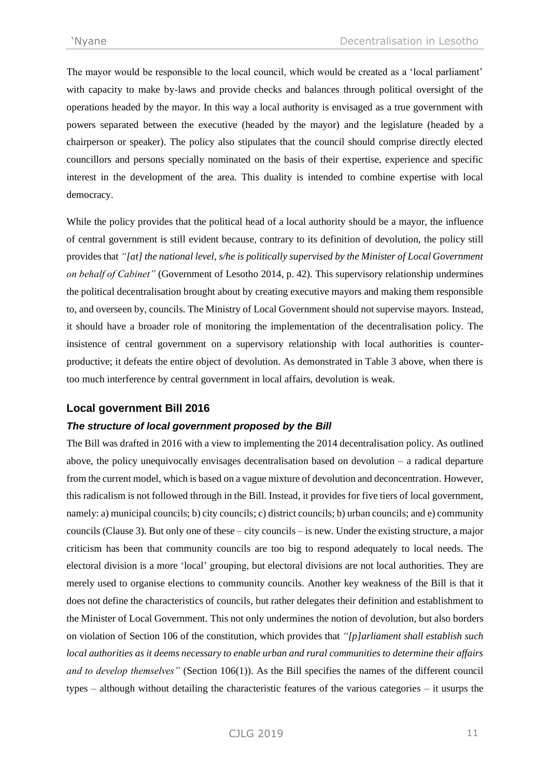The mayor would be responsible to the local council, which would be created as a 'local parliament' with capacity to make by-laws and provide checks and balances through political oversight of the operations headed by the mayor. In this way a local authority is envisaged as a true government with powers separated between the executive (headed by the mayor) and the legislature (headed by a chairperson or speaker). The policy also stipulates that the council should comprise directly elected councillors and persons specially nominated on the basis of their expertise, experience and specific interest in the development of the area. This duality is intended to combine expertise with local democracy.

While the policy provides that the political head of a local authority should be a mayor, the influence of central government is still evident because, contrary to its definition of devolution, the policy still provides that *"[at] the national level, s/he is politically supervised by the Minister of Local Government on behalf of Cabinet"* (Government of Lesotho 2014, p. 42). This supervisory relationship undermines the political decentralisation brought about by creating executive mayors and making them responsible to, and overseen by, councils. The Ministry of Local Government should not supervise mayors. Instead, it should have a broader role of monitoring the implementation of the decentralisation policy. The insistence of central government on a supervisory relationship with local authorities is counterproductive; it defeats the entire object of devolution. As demonstrated in Table 3 above, when there is too much interference by central government in local affairs, devolution is weak.

#### **Local government Bill 2016**

#### *The structure of local government proposed by the Bill*

The Bill was drafted in 2016 with a view to implementing the 2014 decentralisation policy. As outlined above, the policy unequivocally envisages decentralisation based on devolution – a radical departure from the current model, which is based on a vague mixture of devolution and deconcentration. However, this radicalism is not followed through in the Bill. Instead, it provides for five tiers of local government, namely: a) municipal councils; b) city councils; c) district councils; b) urban councils; and e) community councils (Clause 3). But only one of these – city councils – is new. Under the existing structure, a major criticism has been that community councils are too big to respond adequately to local needs. The electoral division is a more 'local' grouping, but electoral divisions are not local authorities. They are merely used to organise elections to community councils. Another key weakness of the Bill is that it does not define the characteristics of councils, but rather delegates their definition and establishment to the Minister of Local Government. This not only undermines the notion of devolution, but also borders on violation of Section 106 of the constitution, which provides that *"[p]arliament shall establish such local authorities as it deems necessary to enable urban and rural communities to determine their affairs and to develop themselves"* (Section 106(1)). As the Bill specifies the names of the different council types – although without detailing the characteristic features of the various categories – it usurps the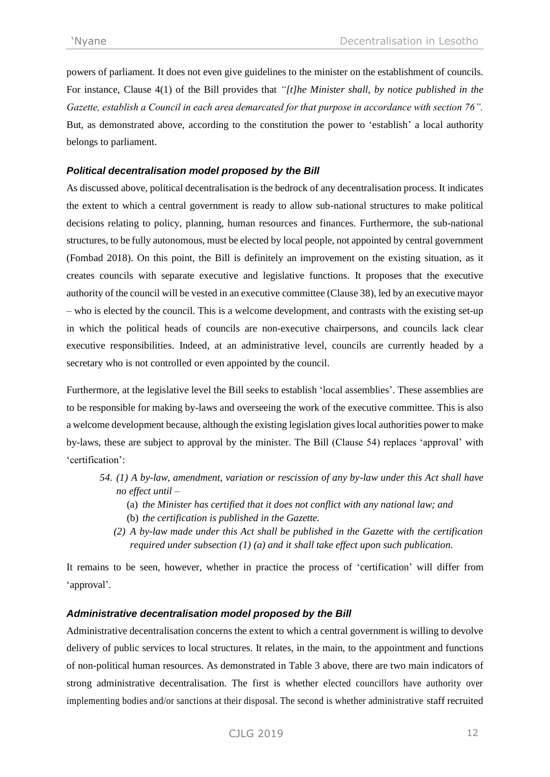powers of parliament. It does not even give guidelines to the minister on the establishment of councils. For instance, Clause 4(1) of the Bill provides that *"[t]he Minister shall, by notice published in the Gazette, establish a Council in each area demarcated for that purpose in accordance with section 76".*  But, as demonstrated above, according to the constitution the power to 'establish' a local authority belongs to parliament.

# *Political decentralisation model proposed by the Bill*

As discussed above, political decentralisation is the bedrock of any decentralisation process. It indicates the extent to which a central government is ready to allow sub-national structures to make political decisions relating to policy, planning, human resources and finances. Furthermore, the sub-national structures, to be fully autonomous, must be elected by local people, not appointed by central government (Fombad 2018). On this point, the Bill is definitely an improvement on the existing situation, as it creates councils with separate executive and legislative functions. It proposes that the executive authority of the council will be vested in an executive committee (Clause 38), led by an executive mayor – who is elected by the council. This is a welcome development, and contrasts with the existing set-up in which the political heads of councils are non-executive chairpersons, and councils lack clear executive responsibilities. Indeed, at an administrative level, councils are currently headed by a secretary who is not controlled or even appointed by the council.

Furthermore, at the legislative level the Bill seeks to establish 'local assemblies'. These assemblies are to be responsible for making by-laws and overseeing the work of the executive committee. This is also a welcome development because, although the existing legislation gives local authorities power to make by-laws, these are subject to approval by the minister. The Bill (Clause 54) replaces 'approval' with 'certification':

- *54. (1) A by-law, amendment, variation or rescission of any by-law under this Act shall have no effect until –* 
	- (a) *the Minister has certified that it does not conflict with any national law; and*  (b) *the certification is published in the Gazette.*
	- *(2) A by-law made under this Act shall be published in the Gazette with the certification required under subsection (1) (a) and it shall take effect upon such publication.*

It remains to be seen, however, whether in practice the process of 'certification' will differ from 'approval'.

# *Administrative decentralisation model proposed by the Bill*

Administrative decentralisation concerns the extent to which a central government is willing to devolve delivery of public services to local structures. It relates, in the main, to the appointment and functions of non-political human resources. As demonstrated in Table 3 above, there are two main indicators of strong administrative decentralisation. The first is whether elected councillors have authority over implementing bodies and/or sanctions at their disposal. The second is whether administrative staff recruited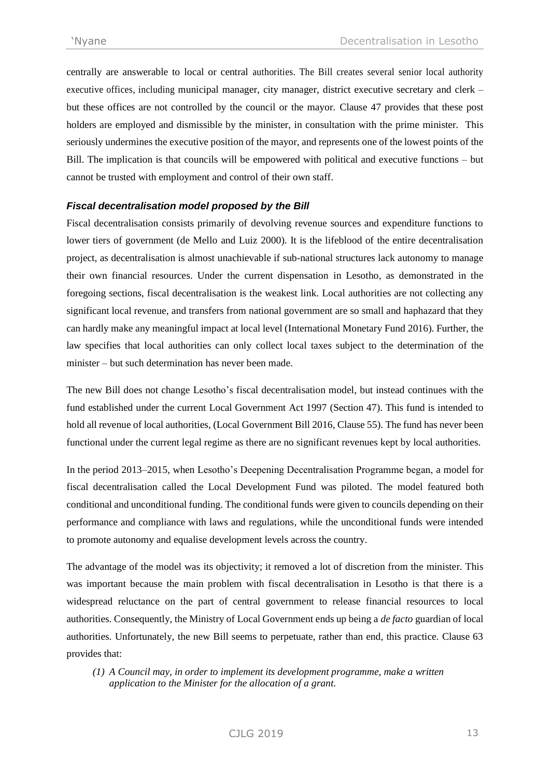centrally are answerable to local or central authorities. The Bill creates several senior local authority executive offices, including municipal manager, city manager, district executive secretary and clerk – but these offices are not controlled by the council or the mayor. Clause 47 provides that these post holders are employed and dismissible by the minister, in consultation with the prime minister. This seriously undermines the executive position of the mayor, and represents one of the lowest points of the Bill. The implication is that councils will be empowered with political and executive functions – but cannot be trusted with employment and control of their own staff.

#### *Fiscal decentralisation model proposed by the Bill*

Fiscal decentralisation consists primarily of devolving revenue sources and expenditure functions to lower tiers of government (de Mello and Luiz 2000). It is the lifeblood of the entire decentralisation project, as decentralisation is almost unachievable if sub-national structures lack autonomy to manage their own financial resources. Under the current dispensation in Lesotho, as demonstrated in the foregoing sections, fiscal decentralisation is the weakest link. Local authorities are not collecting any significant local revenue, and transfers from national government are so small and haphazard that they can hardly make any meaningful impact at local level (International Monetary Fund 2016). Further, the law specifies that local authorities can only collect local taxes subject to the determination of the minister – but such determination has never been made.

The new Bill does not change Lesotho's fiscal decentralisation model, but instead continues with the fund established under the current Local Government Act 1997 (Section 47). This fund is intended to hold all revenue of local authorities, (Local Government Bill 2016, Clause 55). The fund has never been functional under the current legal regime as there are no significant revenues kept by local authorities.

In the period 2013–2015, when Lesotho's Deepening Decentralisation Programme began, a model for fiscal decentralisation called the Local Development Fund was piloted. The model featured both conditional and unconditional funding. The conditional funds were given to councils depending on their performance and compliance with laws and regulations, while the unconditional funds were intended to promote autonomy and equalise development levels across the country.

The advantage of the model was its objectivity; it removed a lot of discretion from the minister. This was important because the main problem with fiscal decentralisation in Lesotho is that there is a widespread reluctance on the part of central government to release financial resources to local authorities. Consequently, the Ministry of Local Government ends up being a *de facto* guardian of local authorities. Unfortunately, the new Bill seems to perpetuate, rather than end, this practice. Clause 63 provides that:

*(1) A Council may, in order to implement its development programme, make a written application to the Minister for the allocation of a grant.*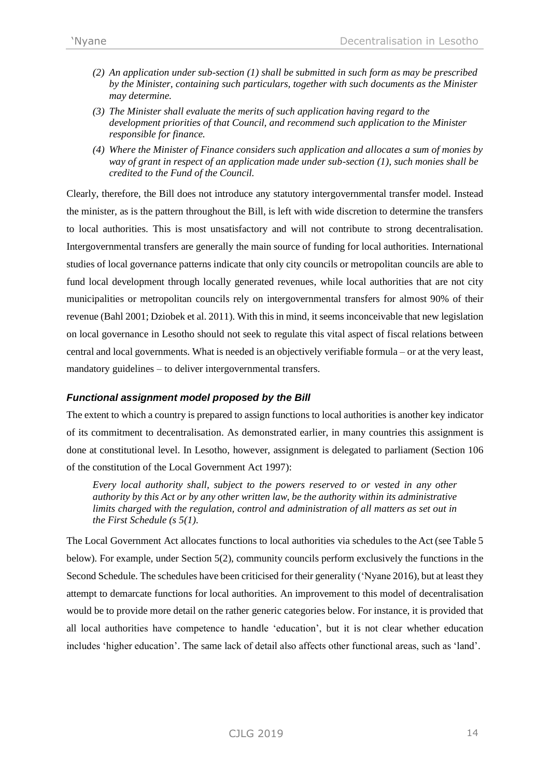- *(2) An application under sub-section (1) shall be submitted in such form as may be prescribed by the Minister, containing such particulars, together with such documents as the Minister may determine.*
- *(3) The Minister shall evaluate the merits of such application having regard to the development priorities of that Council, and recommend such application to the Minister responsible for finance.*
- *(4) Where the Minister of Finance considers such application and allocates a sum of monies by way of grant in respect of an application made under sub-section (1), such monies shall be credited to the Fund of the Council.*

Clearly, therefore, the Bill does not introduce any statutory intergovernmental transfer model. Instead the minister, as is the pattern throughout the Bill, is left with wide discretion to determine the transfers to local authorities. This is most unsatisfactory and will not contribute to strong decentralisation. Intergovernmental transfers are generally the main source of funding for local authorities. International studies of local governance patterns indicate that only city councils or metropolitan councils are able to fund local development through locally generated revenues, while local authorities that are not city municipalities or metropolitan councils rely on intergovernmental transfers for almost 90% of their revenue (Bahl 2001; Dziobek et al. 2011). With this in mind, it seems inconceivable that new legislation on local governance in Lesotho should not seek to regulate this vital aspect of fiscal relations between central and local governments. What is needed is an objectively verifiable formula – or at the very least, mandatory guidelines – to deliver intergovernmental transfers.

# *Functional assignment model proposed by the Bill*

The extent to which a country is prepared to assign functions to local authorities is another key indicator of its commitment to decentralisation. As demonstrated earlier, in many countries this assignment is done at constitutional level. In Lesotho, however, assignment is delegated to parliament (Section 106 of the constitution of the Local Government Act 1997):

*Every local authority shall, subject to the powers reserved to or vested in any other authority by this Act or by any other written law, be the authority within its administrative limits charged with the regulation, control and administration of all matters as set out in the First Schedule (s 5(1).* 

The Local Government Act allocates functions to local authorities via schedules to the Act (see Table 5 below). For example, under Section 5(2), community councils perform exclusively the functions in the Second Schedule. The schedules have been criticised for their generality ('Nyane 2016), but at least they attempt to demarcate functions for local authorities. An improvement to this model of decentralisation would be to provide more detail on the rather generic categories below. For instance, it is provided that all local authorities have competence to handle 'education', but it is not clear whether education includes 'higher education'. The same lack of detail also affects other functional areas, such as 'land'.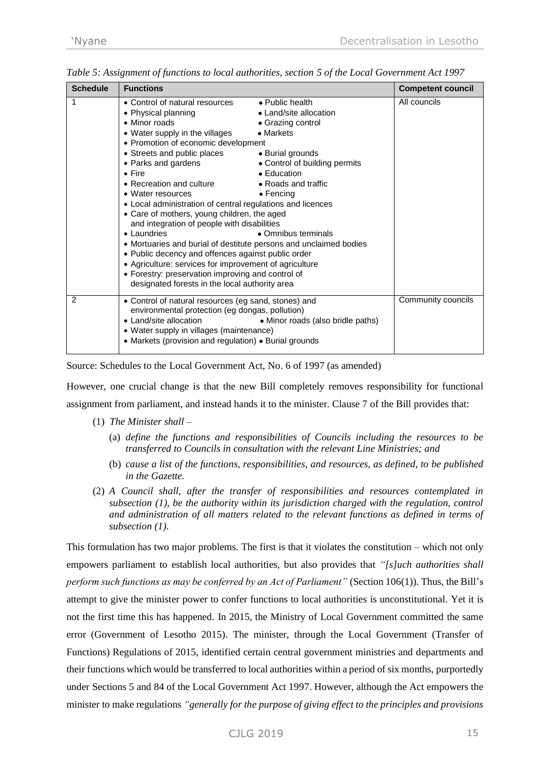| <b>Schedule</b> | <b>Functions</b>                                                                                                                                                                                                                                                                                                                                                                                                                                                                                                                                                                                                                                                                                                                                |                                                                                                                                                                                                                            | <b>Competent council</b> |
|-----------------|-------------------------------------------------------------------------------------------------------------------------------------------------------------------------------------------------------------------------------------------------------------------------------------------------------------------------------------------------------------------------------------------------------------------------------------------------------------------------------------------------------------------------------------------------------------------------------------------------------------------------------------------------------------------------------------------------------------------------------------------------|----------------------------------------------------------------------------------------------------------------------------------------------------------------------------------------------------------------------------|--------------------------|
|                 | • Control of natural resources<br>• Physical planning<br>• Minor roads<br>• Water supply in the villages<br>• Promotion of economic development<br>• Streets and public places<br>• Parks and gardens<br>$\bullet$ Fire<br>• Recreation and culture<br>• Water resources<br>• Local administration of central regulations and licences<br>• Care of mothers, young children, the aged<br>and integration of people with disabilities<br>• Laundries<br>• Mortuaries and burial of destitute persons and unclaimed bodies<br>• Public decency and offences against public order<br>• Agriculture: services for improvement of agriculture<br>• Forestry: preservation improving and control of<br>designated forests in the local authority area | $\bullet$ Public health<br>• Land/site allocation<br>• Grazing control<br>• Markets<br>• Burial grounds<br>• Control of building permits<br>• Education<br>• Roads and traffic<br>$\bullet$ Fencing<br>• Omnibus terminals | All councils             |
| $\mathcal{P}$   | • Control of natural resources (eg sand, stones) and<br>environmental protection (eg dongas, pollution)<br>• Land/site allocation<br>• Water supply in villages (maintenance)<br>• Markets (provision and regulation) • Burial grounds                                                                                                                                                                                                                                                                                                                                                                                                                                                                                                          | • Minor roads (also bridle paths)                                                                                                                                                                                          | Community councils       |

*Table 5: Assignment of functions to local authorities, section 5 of the Local Government Act 1997*

Source: Schedules to the Local Government Act, No. 6 of 1997 (as amended)

However, one crucial change is that the new Bill completely removes responsibility for functional assignment from parliament, and instead hands it to the minister. Clause 7 of the Bill provides that:

- (1) *The Minister shall* 
	- (a) *define the functions and responsibilities of Councils including the resources to be transferred to Councils in consultation with the relevant Line Ministries; and*
	- (b) *cause a list of the functions, responsibilities, and resources, as defined, to be published in the Gazette.*
- (2) *A Council shall, after the transfer of responsibilities and resources contemplated in subsection (1), be the authority within its jurisdiction charged with the regulation, control and administration of all matters related to the relevant functions as defined in terms of subsection (1).*

This formulation has two major problems. The first is that it violates the constitution – which not only empowers parliament to establish local authorities, but also provides that *"[s]uch authorities shall perform such functions as may be conferred by an Act of Parliament"* (Section 106(1)). Thus, the Bill's attempt to give the minister power to confer functions to local authorities is unconstitutional. Yet it is not the first time this has happened. In 2015, the Ministry of Local Government committed the same error (Government of Lesotho 2015). The minister, through the Local Government (Transfer of Functions) Regulations of 2015, identified certain central government ministries and departments and their functions which would be transferred to local authorities within a period of six months, purportedly under Sections 5 and 84 of the Local Government Act 1997. However, although the Act empowers the minister to make regulations *"generally for the purpose of giving effect to the principles and provisions*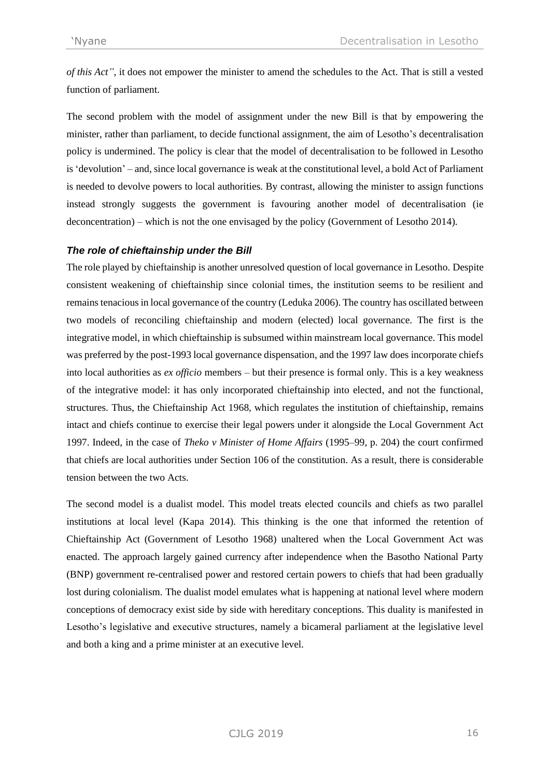*of this Act"*, it does not empower the minister to amend the schedules to the Act. That is still a vested function of parliament.

The second problem with the model of assignment under the new Bill is that by empowering the minister, rather than parliament, to decide functional assignment, the aim of Lesotho's decentralisation policy is undermined. The policy is clear that the model of decentralisation to be followed in Lesotho is 'devolution' – and, since local governance is weak at the constitutional level, a bold Act of Parliament is needed to devolve powers to local authorities. By contrast, allowing the minister to assign functions instead strongly suggests the government is favouring another model of decentralisation (ie deconcentration) – which is not the one envisaged by the policy (Government of Lesotho 2014).

#### *The role of chieftainship under the Bill*

The role played by chieftainship is another unresolved question of local governance in Lesotho. Despite consistent weakening of chieftainship since colonial times, the institution seems to be resilient and remains tenacious in local governance of the country (Leduka 2006). The country has oscillated between two models of reconciling chieftainship and modern (elected) local governance. The first is the integrative model, in which chieftainship is subsumed within mainstream local governance. This model was preferred by the post-1993 local governance dispensation, and the 1997 law does incorporate chiefs into local authorities as *ex officio* members – but their presence is formal only. This is a key weakness of the integrative model: it has only incorporated chieftainship into elected, and not the functional, structures. Thus, the Chieftainship Act 1968, which regulates the institution of chieftainship, remains intact and chiefs continue to exercise their legal powers under it alongside the Local Government Act 1997. Indeed, in the case of *Theko v Minister of Home Affairs* (1995–99, p. 204) the court confirmed that chiefs are local authorities under Section 106 of the constitution. As a result, there is considerable tension between the two Acts.

The second model is a dualist model. This model treats elected councils and chiefs as two parallel institutions at local level (Kapa 2014). This thinking is the one that informed the retention of Chieftainship Act (Government of Lesotho 1968) unaltered when the Local Government Act was enacted. The approach largely gained currency after independence when the Basotho National Party (BNP) government re-centralised power and restored certain powers to chiefs that had been gradually lost during colonialism. The dualist model emulates what is happening at national level where modern conceptions of democracy exist side by side with hereditary conceptions. This duality is manifested in Lesotho's legislative and executive structures, namely a bicameral parliament at the legislative level and both a king and a prime minister at an executive level.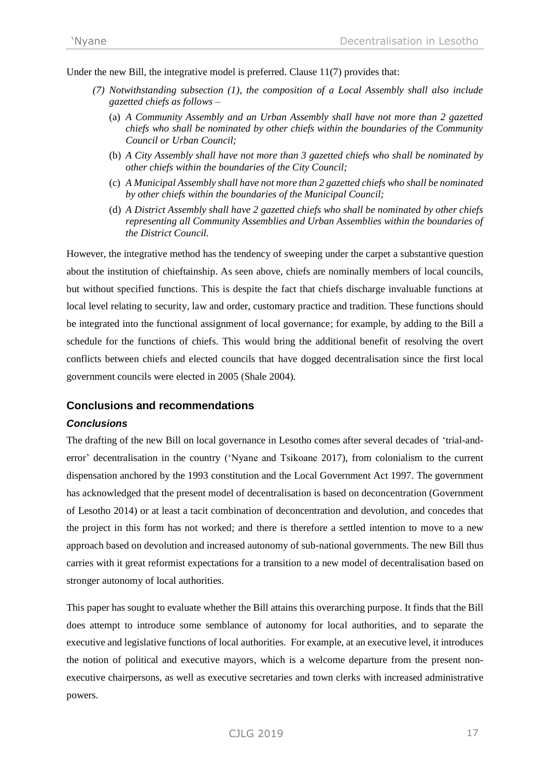Under the new Bill, the integrative model is preferred. Clause  $11(7)$  provides that:

- *(7) Notwithstanding subsection (1), the composition of a Local Assembly shall also include gazetted chiefs as follows –* 
	- (a) *A Community Assembly and an Urban Assembly shall have not more than 2 gazetted chiefs who shall be nominated by other chiefs within the boundaries of the Community Council or Urban Council;*
	- (b) *A City Assembly shall have not more than 3 gazetted chiefs who shall be nominated by other chiefs within the boundaries of the City Council;*
	- (c) *A Municipal Assembly shall have not more than 2 gazetted chiefs who shall be nominated by other chiefs within the boundaries of the Municipal Council;*
	- (d) *A District Assembly shall have 2 gazetted chiefs who shall be nominated by other chiefs representing all Community Assemblies and Urban Assemblies within the boundaries of the District Council.*

However, the integrative method has the tendency of sweeping under the carpet a substantive question about the institution of chieftainship. As seen above, chiefs are nominally members of local councils, but without specified functions. This is despite the fact that chiefs discharge invaluable functions at local level relating to security, law and order, customary practice and tradition. These functions should be integrated into the functional assignment of local governance; for example, by adding to the Bill a schedule for the functions of chiefs. This would bring the additional benefit of resolving the overt conflicts between chiefs and elected councils that have dogged decentralisation since the first local government councils were elected in 2005 (Shale 2004).

# **Conclusions and recommendations**

#### *Conclusions*

The drafting of the new Bill on local governance in Lesotho comes after several decades of 'trial-anderror' decentralisation in the country ('Nyane and Tsikoane 2017), from colonialism to the current dispensation anchored by the 1993 constitution and the Local Government Act 1997. The government has acknowledged that the present model of decentralisation is based on deconcentration (Government of Lesotho 2014) or at least a tacit combination of deconcentration and devolution, and concedes that the project in this form has not worked; and there is therefore a settled intention to move to a new approach based on devolution and increased autonomy of sub-national governments. The new Bill thus carries with it great reformist expectations for a transition to a new model of decentralisation based on stronger autonomy of local authorities.

This paper has sought to evaluate whether the Bill attains this overarching purpose. It finds that the Bill does attempt to introduce some semblance of autonomy for local authorities, and to separate the executive and legislative functions of local authorities. For example, at an executive level, it introduces the notion of political and executive mayors, which is a welcome departure from the present nonexecutive chairpersons, as well as executive secretaries and town clerks with increased administrative powers.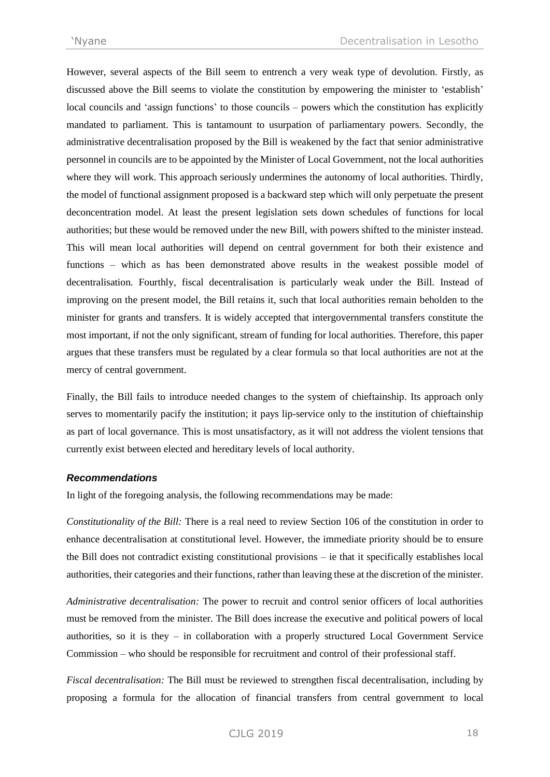However, several aspects of the Bill seem to entrench a very weak type of devolution. Firstly, as discussed above the Bill seems to violate the constitution by empowering the minister to 'establish' local councils and 'assign functions' to those councils – powers which the constitution has explicitly mandated to parliament. This is tantamount to usurpation of parliamentary powers. Secondly, the administrative decentralisation proposed by the Bill is weakened by the fact that senior administrative personnel in councils are to be appointed by the Minister of Local Government, not the local authorities where they will work. This approach seriously undermines the autonomy of local authorities. Thirdly, the model of functional assignment proposed is a backward step which will only perpetuate the present deconcentration model. At least the present legislation sets down schedules of functions for local authorities; but these would be removed under the new Bill, with powers shifted to the minister instead. This will mean local authorities will depend on central government for both their existence and functions – which as has been demonstrated above results in the weakest possible model of decentralisation. Fourthly, fiscal decentralisation is particularly weak under the Bill. Instead of improving on the present model, the Bill retains it, such that local authorities remain beholden to the minister for grants and transfers. It is widely accepted that intergovernmental transfers constitute the most important, if not the only significant, stream of funding for local authorities. Therefore, this paper argues that these transfers must be regulated by a clear formula so that local authorities are not at the mercy of central government.

Finally, the Bill fails to introduce needed changes to the system of chieftainship. Its approach only serves to momentarily pacify the institution; it pays lip-service only to the institution of chieftainship as part of local governance. This is most unsatisfactory, as it will not address the violent tensions that currently exist between elected and hereditary levels of local authority.

#### *Recommendations*

In light of the foregoing analysis, the following recommendations may be made:

*Constitutionality of the Bill:* There is a real need to review Section 106 of the constitution in order to enhance decentralisation at constitutional level. However, the immediate priority should be to ensure the Bill does not contradict existing constitutional provisions – ie that it specifically establishes local authorities, their categories and their functions, rather than leaving these at the discretion of the minister.

*Administrative decentralisation:* The power to recruit and control senior officers of local authorities must be removed from the minister. The Bill does increase the executive and political powers of local authorities, so it is they – in collaboration with a properly structured Local Government Service Commission – who should be responsible for recruitment and control of their professional staff.

*Fiscal decentralisation:* The Bill must be reviewed to strengthen fiscal decentralisation, including by proposing a formula for the allocation of financial transfers from central government to local

## CJLG 2019 18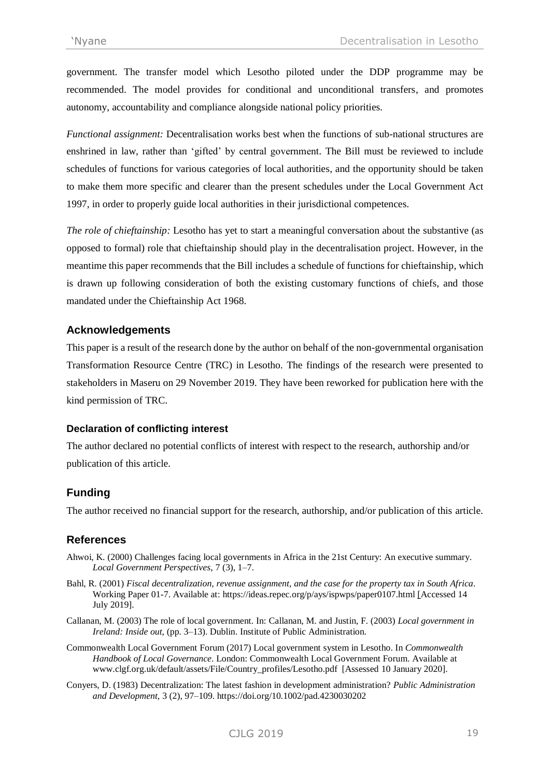government. The transfer model which Lesotho piloted under the DDP programme may be recommended. The model provides for conditional and unconditional transfers, and promotes autonomy, accountability and compliance alongside national policy priorities.

*Functional assignment:* Decentralisation works best when the functions of sub-national structures are enshrined in law, rather than 'gifted' by central government. The Bill must be reviewed to include schedules of functions for various categories of local authorities, and the opportunity should be taken to make them more specific and clearer than the present schedules under the Local Government Act 1997, in order to properly guide local authorities in their jurisdictional competences.

*The role of chieftainship:* Lesotho has yet to start a meaningful conversation about the substantive (as opposed to formal) role that chieftainship should play in the decentralisation project. However, in the meantime this paper recommends that the Bill includes a schedule of functions for chieftainship, which is drawn up following consideration of both the existing customary functions of chiefs, and those mandated under the Chieftainship Act 1968.

# **Acknowledgements**

This paper is a result of the research done by the author on behalf of the non-governmental organisation Transformation Resource Centre (TRC) in Lesotho. The findings of the research were presented to stakeholders in Maseru on 29 November 2019. They have been reworked for publication here with the kind permission of TRC.

#### **Declaration of conflicting interest**

The author declared no potential conflicts of interest with respect to the research, authorship and/or publication of this article.

# **Funding**

The author received no financial support for the research, authorship, and/or publication of this article.

# **References**

- Ahwoi, K. (2000) Challenges facing local governments in Africa in the 21st Century: An executive summary. *Local Government Perspectives*, 7 (3), 1–7.
- Bahl, R. (2001) *Fiscal decentralization, revenue assignment, and the case for the property tax in South Africa*. Working Paper 01-7. Available at: [https://ideas.repec.org/p/ays/ispwps/paper0107.html \[Accessed](https://ideas.repec.org/p/ays/ispwps/paper0107.html%20%5bAccessed) 14 July 2019].
- Callanan, M. (2003) The role of local government. In: Callanan, M. and Justin, F. (2003) *Local government in Ireland: Inside out*, (pp. 3–13). Dublin. Institute of Public Administration.
- Commonwealth Local Government Forum (2017) Local government system in Lesotho. In *Commonwealth Handbook of Local Governance*. London: Commonwealth Local Government Forum. Available at [www.clgf.org.uk/default/assets/File/Country\\_profiles/Lesotho.pdf \[Assessed](http://www.clgf.org.uk/default/assets/File/Country_profiles/Lesotho.pdf%20%20%5bAssessed) 10 January 2020].
- Conyers, D. (1983) Decentralization: The latest fashion in development administration? *Public Administration and Development,* 3 (2), 97–109. https://doi.org/10.1002/pad.4230030202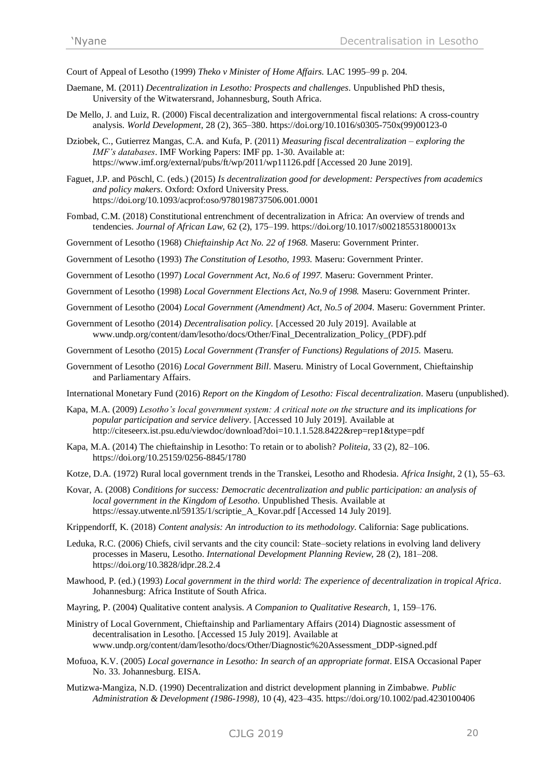Court of Appeal of Lesotho (1999) *Theko v Minister of Home Affairs.* LAC 1995–99 p. 204.

- Daemane, M. (2011) *Decentralization in Lesotho: Prospects and challenges*. Unpublished PhD thesis, University of the Witwatersrand, Johannesburg, South Africa.
- De Mello, J. and Luiz, R. (2000) Fiscal decentralization and intergovernmental fiscal relations: A cross-country analysis. *World Development,* 28 (2), 365–380. https://doi.org/10.1016/s0305-750x(99)00123-0
- Dziobek, C., Gutierrez Mangas, C.A. and Kufa, P. (2011) *Measuring fiscal decentralization – exploring the IMF's databases*. IMF Working Papers: IMF pp. 1-30. Available at: [https://www.imf.org/external/pubs/ft/wp/2011/wp11126.pdf \[Accessed](https://www.imf.org/external/pubs/ft/wp/2011/wp11126.pdf%20%5bAccessed) 20 June 2019].
- Faguet, J.P. and Pöschl, C. (eds.) (2015) *Is decentralization good for development: Perspectives from academics and policy makers*. Oxford: Oxford University Press. https://doi.org/10.1093/acprof:oso/9780198737506.001.0001
- Fombad, C.M. (2018) Constitutional entrenchment of decentralization in Africa: An overview of trends and tendencies. *Journal of African Law,* 62 (2), 175–199. https://doi.org/10.1017/s002185531800013x

Government of Lesotho (1968) *Chieftainship Act No. 22 of 1968.* Maseru: Government Printer.

Government of Lesotho (1993) *The Constitution of Lesotho, 1993.* Maseru: Government Printer.

Government of Lesotho (1997) *Local Government Act, No.6 of 1997.* Maseru: Government Printer*.*

Government of Lesotho (1998) *Local Government Elections Act, No.9 of 1998.* Maseru: Government Printer*.*

- Government of Lesotho (2004) *Local Government (Amendment) Act, No.5 of 2004.* Maseru: Government Printer*.*
- Government of Lesotho (2014) *Decentralisation policy.* [Accessed 20 July 2019]. Available at www.undp.org/content/dam/lesotho/docs/Other/Final\_Decentralization\_Policy\_(PDF).pdf

Government of Lesotho (2015) *Local Government (Transfer of Functions) Regulations of 2015.* Maseru*.*

Government of Lesotho (2016) *Local Government Bill*. Maseru. Ministry of Local Government, Chieftainship and Parliamentary Affairs.

International Monetary Fund (2016) *Report on the Kingdom of Lesotho: Fiscal decentralization*. Maseru (unpublished).

- Kapa, M.A. (2009) *Lesotho's local government system: A critical note on the structure and its implications for popular participation and service delivery*. [Accessed 10 July 2019]. Available at <http://citeseerx.ist.psu.edu/viewdoc/download?doi=10.1.1.528.8422&rep=rep1&type=pdf>
- Kapa, M.A. (2014) The chieftainship in Lesotho: To retain or to abolish? *Politeia,* 33 (2), 82–106. https://doi.org/10.25159/0256-8845/1780

Kotze, D.A. (1972) Rural local government trends in the Transkei, Lesotho and Rhodesia. *Africa Insight*, 2 (1), 55–63.

Kovar, A. (2008) *Conditions for success: Democratic decentralization and public participation: an analysis of local government in the Kingdom of Lesotho*. Unpublished Thesis. Available at [https://essay.utwente.nl/59135/1/scriptie\\_A\\_Kovar.pdf](https://essay.utwente.nl/59135/1/scriptie_A_Kovar.pdf) [Accessed 14 July 2019].

Krippendorff, K. (2018) *Content analysis: An introduction to its methodology*. California: Sage publications.

- Leduka, R.C. (2006) Chiefs, civil servants and the city council: State–society relations in evolving land delivery processes in Maseru, Lesotho. *International Development Planning Review,* 28 (2), 181–208. https://doi.org/10.3828/idpr.28.2.4
- Mawhood, P. (ed.) (1993) *Local government in the third world: The experience of decentralization in tropical Africa*. Johannesburg: Africa Institute of South Africa.
- Mayring, P. (2004) Qualitative content analysis. *A Companion to Qualitative Research,* 1, 159–176.
- Ministry of Local Government, Chieftainship and Parliamentary Affairs (2014) Diagnostic assessment of decentralisation in Lesotho. [Accessed 15 July 2019]. Available at www.undp.org/content/dam/lesotho/docs/Other/Diagnostic%20Assessment\_DDP-signed.pdf
- Mofuoa, K.V. (2005) *Local governance in Lesotho: In search of an appropriate format*. EISA Occasional Paper No. 33. Johannesburg. EISA.
- Mutizwa-Mangiza, N.D. (1990) Decentralization and district development planning in Zimbabwe. *Public Administration & Development (1986-1998),* 10 (4), 423–435. https://doi.org/10.1002/pad.4230100406